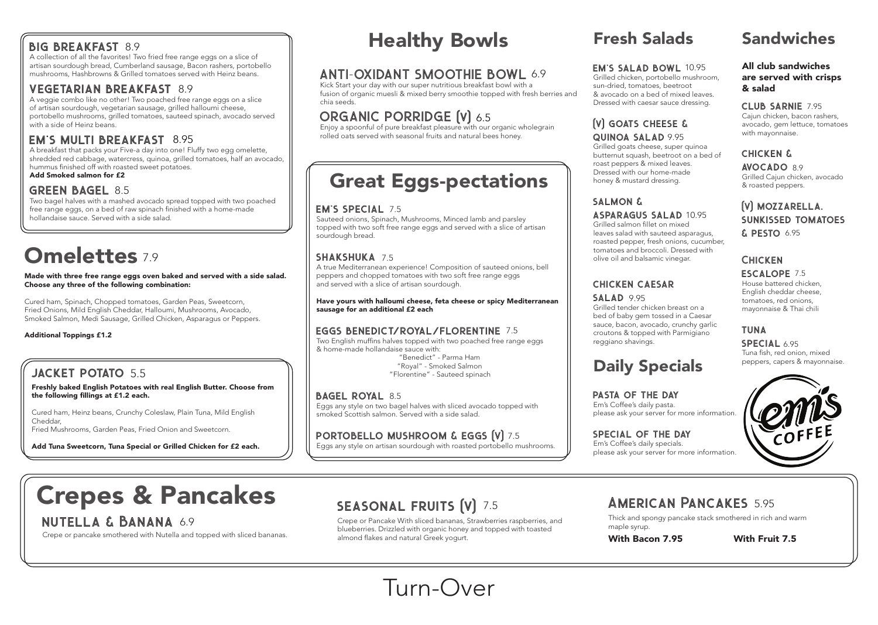Freshly baked English Potatoes with real English Butter. Choose from the following fillings at £1.2 each.

Cured ham, Heinz beans, Crunchy Coleslaw, Plain Tuna, Mild English Cheddar, Fried Mushrooms, Garden Peas, Fried Onion and Sweetcorn.

Add Tuna Sweetcorn, Tuna Special or Grilled Chicken for £2 each.

# Crepes & Pancakes

# nutella & Banana 6.9

Crepe or pancake smothered with Nutella and topped with sliced bananas.

# SEASONAL FRUITS (V) 7.5

Crepe or Pancake With sliced bananas, Strawberries raspberries, and blueberries. Drizzled with organic honey and topped with toasted almond flakes and natural Greek yogurt.

Thick and spongy pancake stack smothered in rich and warm

maple syrup.

Made with three free range eggs oven baked and served with a side salad. Choose any three of the following combination:

Cured ham, Spinach, Chopped tomatoes, Garden Peas, Sweetcorn, Fried Onions, Mild English Cheddar, Halloumi, Mushrooms, Avocado, Smoked Salmon, Medi Sausage, Grilled Chicken, Asparagus or Peppers.

### Additional Toppings £1.2

## JACKET POTATO 5.5

Enjoy a spoonful of pure breakfast pleasure with our organic wholegrain rolled oats served with seasonal fruits and natural bees honey.

Sauteed onions, Spinach, Mushrooms, Minced lamb and parsley topped with two soft free range eggs and served with a slice of artisan sourdough bread.

## SHAKSHUKA 7.5

A true Mediterranean experience! Composition of sauteed onions, bell peppers and chopped tomatoes with two soft free range eggs and served with a slice of artisan sourdough.

Have yours with halloumi cheese, feta cheese or spicy Mediterranean sausage for an additional £2 each

### EGGS BENEDICT/ROYAL/FLORENTINE 7.5

PASTA OF THE DAY Em's Coffee's daily pasta.

Two English muffins halves topped with two poached free range eggs & home-made hollandaise sauce with:

> SPECIAL OF THE DAY Em's Coffee's daily specials. please ask your server for more information.

### ASPARAGUS SALAD 10.95

 "Benedict" - Parma Ham "Royal" - Smoked Salmon "Florentine" - Sauteed spinach

### BAGEL ROYAL 8.5

AVOCADO 8.9 Grilled Cajun chicken, avocado & roasted peppers.

## (V) MOZZARELLA. **SUNKISSED TOMATOES**  $$$  PESTO 6.95

# **CHICKEN**

Eggs any style on two bagel halves with sliced avocado topped with smoked Scottish salmon. Served with a side salad.

## $\tt{PorTOBELLO}$  MUSHROOM  $\&$  EGGS  $\texttt{[V]}$  7.5

Eggs any style on artisan sourdough with roasted portobello mushrooms.

ESCALOPE 7.5 House battered chicken, English cheddar cheese, tomatoes, red onions, mayonnaise & Thai chili

SPECIAL 6.95 Tuna fish, red onion, mixed peppers, capers & mayonnaise.



# 7.5 AMERICAN PANCAKES 5.95

# Healthy Bowls

# ANTI-OXIDANT SMOOTHIE BOWL 6.9

Kick Start your day with our super nutritious breakfast bowl with a fusion of organic muesli & mixed berry smoothie topped with fresh berries and chia seeds.

# ORGANIC PORRIDGE (V) 6.5

# Great Eggs-pectations

### EM'S SPECIAL 7.5

# Fresh Salads Sandwiches

Grilled chicken, portobello mushroom, sun-dried, tomatoes, beetroot & avocado on a bed of mixed leaves. Dressed with caesar sauce dressing.

## **(V) GOATS CHEESE &** QUINOA SALAD 9.95

Grilled goats cheese, super quinoa butternut squash, beetroot on a bed of roast peppers & mixed leaves. Dressed with our home-made honey & mustard dressing.

# SALMON &

Grilled salmon fillet on mixed leaves salad with sauteed asparagus, roasted pepper, fresh onions, cucumber, tomatoes and broccoli. Dressed with olive oil and balsamic vinegar.

# CHICKEN CAESAR

salad 9.95 Grilled tender chicken breast on a bed of baby gem tossed in a Caesar croutons & topped with Parmigiano

sauce, bacon, avocado, crunchy garlic reggiano shavings.

Daily Specials

# please ask your server for more information.

### All club sandwiches are served with crisps & salad

### CLUB SARNIE 7.95

Cajun chicken, bacon rashers, avocado, gem lettuce, tomatoes with mayonnaise.

### **CHICKEN &**

## tuna

## With Bacon 7.95 With Fruit 7.5

# Turn-Over

## EM'S SALAD BOWL 10.95

# BIG BREAKFAST 8.9

A collection of all the favorites! Two fried free range eggs on a slice of artisan sourdough bread, Cumberland sausage, Bacon rashers, portobello mushrooms, Hashbrowns & Grilled tomatoes served with Heinz beans.

## VEGETARIAN BREAKFAST 8.9

A veggie combo like no other! Two poached free range eggs on a slice of artisan sourdough, vegetarian sausage, grilled halloumi cheese, portobello mushrooms, grilled tomatoes, sauteed spinach, avocado served with a side of Heinz beans.

# EM'S MULTI BREAKFAST 8.95

A breakfast that packs your Five-a day into one! Fluffy two egg omelette, shredded red cabbage, watercress, quinoa, grilled tomatoes, half an avocado, hummus finished off with roasted sweet potatoes.

Add Smoked salmon for £2

## GREEN BAGEL 8.5

Two bagel halves with a mashed avocado spread topped with two poached free range eggs, on a bed of raw spinach finished with a home-made hollandaise sauce. Served with a side salad.

# **Omelettes** 7.9